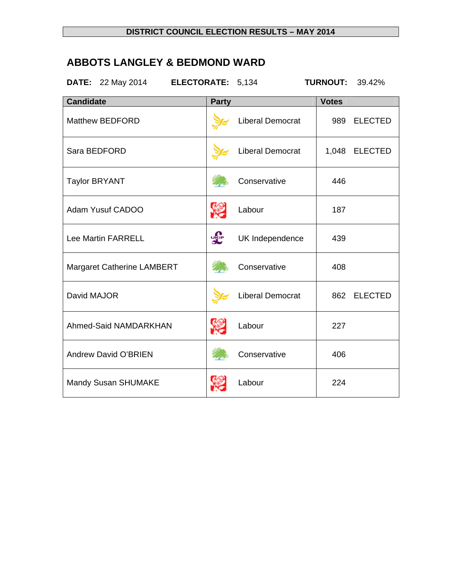# **ABBOTS LANGLEY & BEDMOND WARD**

**DATE:** 22 May 2014 **ELECTORATE:** 5,134 **TURNOUT:** 39.42%

| <b>Candidate</b>           | <b>Party</b> |                         | <b>Votes</b> |                |
|----------------------------|--------------|-------------------------|--------------|----------------|
| <b>Matthew BEDFORD</b>     |              | Liberal Democrat        | 989          | <b>ELECTED</b> |
| Sara BEDFORD               |              | <b>Liberal Democrat</b> |              | 1,048 ELECTED  |
| <b>Taylor BRYANT</b>       |              | Conservative            | 446          |                |
| Adam Yusuf CADOO           | <u>e</u>     | Labour                  | 187          |                |
| <b>Lee Martin FARRELL</b>  | <b>DRIP</b>  | UK Independence         | 439          |                |
| Margaret Catherine LAMBERT |              | Conservative            | 408          |                |
| David MAJOR                |              | <b>Liberal Democrat</b> | 862          | <b>ELECTED</b> |
| Ahmed-Said NAMDARKHAN      | v.           | Labour                  | 227          |                |
| Andrew David O'BRIEN       |              | Conservative            | 406          |                |
| Mandy Susan SHUMAKE        |              | Labour                  | 224          |                |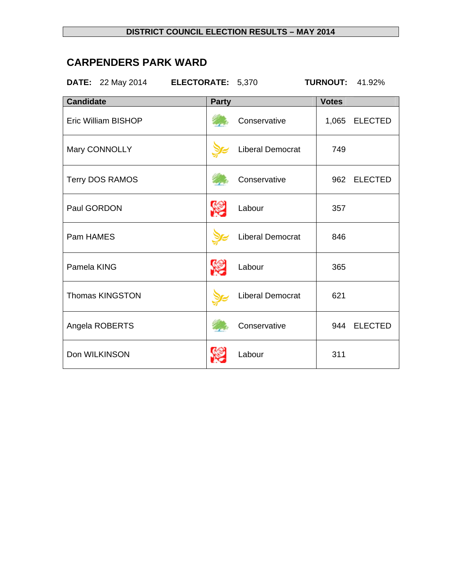# **CARPENDERS PARK WARD**

**DATE:** 22 May 2014 **ELECTORATE:** 5,370 **TURNOUT:** 41.92%

| <b>Candidate</b>           | <b>Party</b>            | <b>Votes</b>            |
|----------------------------|-------------------------|-------------------------|
| <b>Eric William BISHOP</b> | Conservative            | 1,065<br><b>ELECTED</b> |
| Mary CONNOLLY              | <b>Liberal Democrat</b> | 749                     |
| <b>Terry DOS RAMOS</b>     | Conservative            | <b>ELECTED</b><br>962   |
| Paul GORDON                | Labour                  | 357                     |
| Pam HAMES                  | Liberal Democrat        | 846                     |
| Pamela KING                | Labour                  | 365                     |
| <b>Thomas KINGSTON</b>     | <b>Liberal Democrat</b> | 621                     |
| Angela ROBERTS             | Conservative            | 944 ELECTED             |
| Don WILKINSON              | Labour                  | 311                     |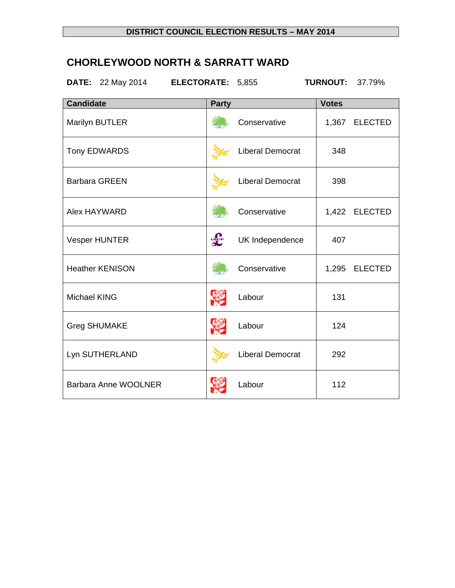# **CHORLEYWOOD NORTH & SARRATT WARD**

**DATE:** 22 May 2014 **ELECTORATE:** 5,855 **TURNOUT:** 37.79%

| <b>Candidate</b>       | <b>Party</b> |                         | <b>Votes</b> |                |
|------------------------|--------------|-------------------------|--------------|----------------|
| Marilyn BUTLER         |              | Conservative            |              | 1,367 ELECTED  |
| <b>Tony EDWARDS</b>    |              | <b>Liberal Democrat</b> | 348          |                |
| <b>Barbara GREEN</b>   |              | <b>Liberal Democrat</b> | 398          |                |
| Alex HAYWARD           |              | Conservative            |              | 1,422 ELECTED  |
| <b>Vesper HUNTER</b>   | <b>DRUP</b>  | UK Independence         | 407          |                |
| <b>Heather KENISON</b> |              | Conservative            | 1,295        | <b>ELECTED</b> |
| <b>Michael KING</b>    | <b>RE</b>    | Labour                  | 131          |                |
| <b>Greg SHUMAKE</b>    | <b>SEP</b>   | Labour                  | 124          |                |
| Lyn SUTHERLAND         |              | <b>Liberal Democrat</b> | 292          |                |
| Barbara Anne WOOLNER   |              | Labour                  | 112          |                |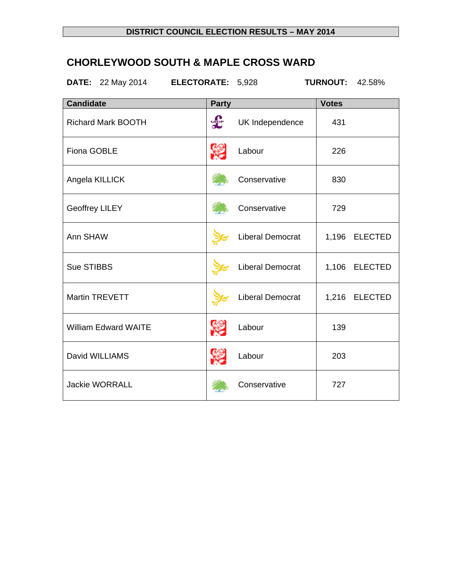# **CHORLEYWOOD SOUTH & MAPLE CROSS WARD**

**DATE:** 22 May 2014 **ELECTORATE:** 5,928 **TURNOUT:** 42.58%

| <b>Candidate</b>            | <b>Party</b> |                         | <b>Votes</b> |                |
|-----------------------------|--------------|-------------------------|--------------|----------------|
| <b>Richard Mark BOOTH</b>   | <b>SEP</b>   | UK Independence         | 431          |                |
| <b>Fiona GOBLE</b>          | \$.          | Labour                  | 226          |                |
| Angela KILLICK              |              | Conservative            | 830          |                |
| <b>Geoffrey LILEY</b>       |              | Conservative            | 729          |                |
| Ann SHAW                    |              | <b>Liberal Democrat</b> | 1,196        | <b>ELECTED</b> |
| Sue STIBBS                  |              | Liberal Democrat        | 1,106        | <b>ELECTED</b> |
| <b>Martin TREVETT</b>       |              | Liberal Democrat        |              | 1,216 ELECTED  |
| <b>William Edward WAITE</b> | \$.          | Labour                  | 139          |                |
| David WILLIAMS              | <b>R</b>     | Labour                  | 203          |                |
| <b>Jackie WORRALL</b>       |              | Conservative            | 727          |                |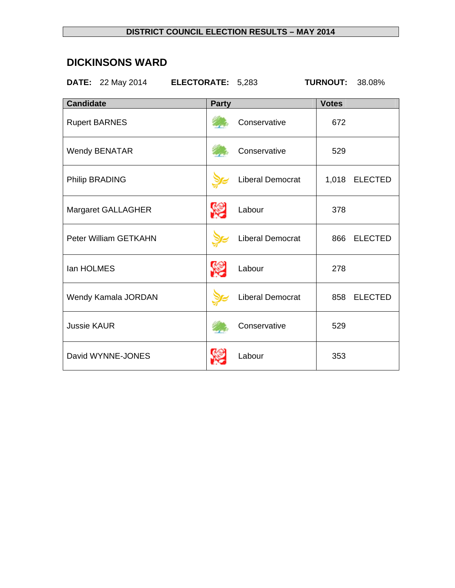## **DICKINSONS WARD**

**DATE:** 22 May 2014 **ELECTORATE:** 5,283 **TURNOUT:** 38.08%

| <b>Candidate</b>             | <b>Party</b> |                         | <b>Votes</b> |                |
|------------------------------|--------------|-------------------------|--------------|----------------|
| <b>Rupert BARNES</b>         |              | Conservative            | 672          |                |
| <b>Wendy BENATAR</b>         |              | Conservative            | 529          |                |
| <b>Philip BRADING</b>        |              | Liberal Democrat        | 1,018        | <b>ELECTED</b> |
| Margaret GALLAGHER           | <b>SEP</b>   | Labour                  | 378          |                |
| <b>Peter William GETKAHN</b> |              | <b>Liberal Democrat</b> | 866          | <b>ELECTED</b> |
| lan HOLMES                   | <b>SEP</b>   | Labour                  | 278          |                |
| Wendy Kamala JORDAN          |              | <b>Liberal Democrat</b> | 858          | <b>ELECTED</b> |
| <b>Jussie KAUR</b>           |              | Conservative            | 529          |                |
| David WYNNE-JONES            |              | Labour                  | 353          |                |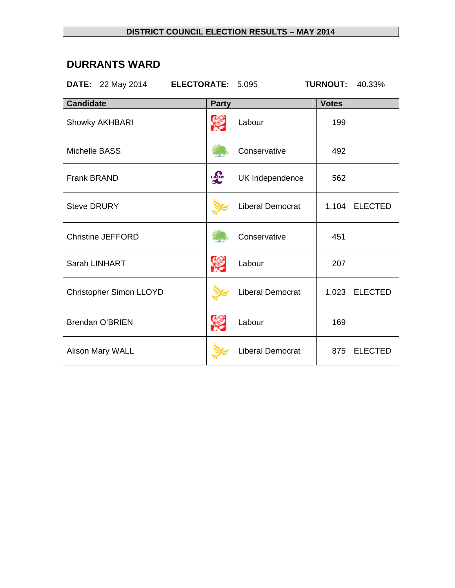## **DURRANTS WARD**

| <b>ELECTORATE:</b><br><b>DATE:</b> 22 May 2014 |                        | 5,095                   | <b>TURNOUT:</b> | 40.33%         |
|------------------------------------------------|------------------------|-------------------------|-----------------|----------------|
| <b>Candidate</b>                               | <b>Party</b>           |                         | <b>Votes</b>    |                |
| Showky AKHBARI                                 |                        | Labour                  | 199             |                |
| <b>Michelle BASS</b>                           |                        | Conservative            | 492             |                |
| <b>Frank BRAND</b>                             | <b>J<sub>SUP</sub></b> | UK Independence         | 562             |                |
| <b>Steve DRURY</b>                             |                        | Liberal Democrat        | 1,104           | <b>ELECTED</b> |
| <b>Christine JEFFORD</b>                       |                        | Conservative            | 451             |                |
| Sarah LINHART                                  |                        | Labour                  | 207             |                |
| Christopher Simon LLOYD                        |                        | <b>Liberal Democrat</b> | 1,023           | <b>ELECTED</b> |
| <b>Brendan O'BRIEN</b>                         |                        | Labour                  | 169             |                |
| Alison Mary WALL                               |                        | Liberal Democrat        | 875             | <b>ELECTED</b> |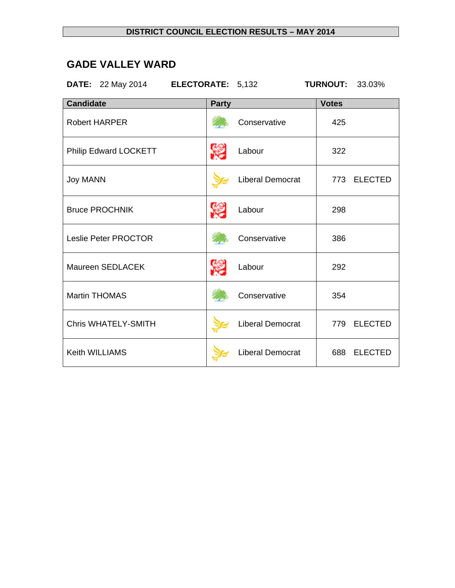## **GADE VALLEY WARD**

**DATE:** 22 May 2014 **ELECTORATE:** 5,132 **TURNOUT:** 33.03%

| <b>Candidate</b>           | <b>Party</b>     |                         | <b>Votes</b> |                |
|----------------------------|------------------|-------------------------|--------------|----------------|
| <b>Robert HARPER</b>       |                  | Conservative            | 425          |                |
| Philip Edward LOCKETT      | <b>SEP</b>       | Labour                  | 322          |                |
| <b>Joy MANN</b>            |                  | Liberal Democrat        |              | 773 ELECTED    |
| <b>Bruce PROCHNIK</b>      | <b>September</b> | Labour                  | 298          |                |
| Leslie Peter PROCTOR       |                  | Conservative            | 386          |                |
| Maureen SEDLACEK           |                  | Labour                  | 292          |                |
| <b>Martin THOMAS</b>       |                  | Conservative            | 354          |                |
| <b>Chris WHATELY-SMITH</b> |                  | Liberal Democrat        | 779          | <b>ELECTED</b> |
| Keith WILLIAMS             |                  | <b>Liberal Democrat</b> | 688          | <b>ELECTED</b> |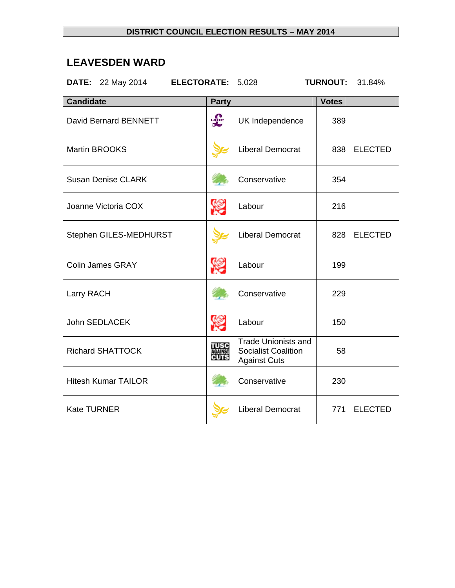## **LEAVESDEN WARD**

**DATE:** 22 May 2014 **ELECTORATE:** 5,028 **TURNOUT:** 31.84%

| <b>Candidate</b>             | <b>Party</b>                  |                                                                          | <b>Votes</b> |                |
|------------------------------|-------------------------------|--------------------------------------------------------------------------|--------------|----------------|
| <b>David Bernard BENNETT</b> | <b>J<sub>KIP</sub></b>        | UK Independence                                                          | 389          |                |
| <b>Martin BROOKS</b>         |                               | <b>Liberal Democrat</b>                                                  | 838          | <b>ELECTED</b> |
| <b>Susan Denise CLARK</b>    |                               | Conservative                                                             | 354          |                |
| Joanne Victoria COX          | <b>SEP</b>                    | Labour                                                                   | 216          |                |
| Stephen GILES-MEDHURST       |                               | <b>Liberal Democrat</b>                                                  | 828          | <b>ELECTED</b> |
| <b>Colin James GRAY</b>      |                               | Labour                                                                   | 199          |                |
| Larry RACH                   |                               | Conservative                                                             | 229          |                |
| <b>John SEDLACEK</b>         | <u>e</u>                      | Labour                                                                   | 150          |                |
| <b>Richard SHATTOCK</b>      | <b>TUSC</b><br><b>AGAINST</b> | Trade Unionists and<br><b>Socialist Coalition</b><br><b>Against Cuts</b> | 58           |                |
| <b>Hitesh Kumar TAILOR</b>   |                               | Conservative                                                             | 230          |                |
| <b>Kate TURNER</b>           |                               | <b>Liberal Democrat</b>                                                  | 771          | <b>ELECTED</b> |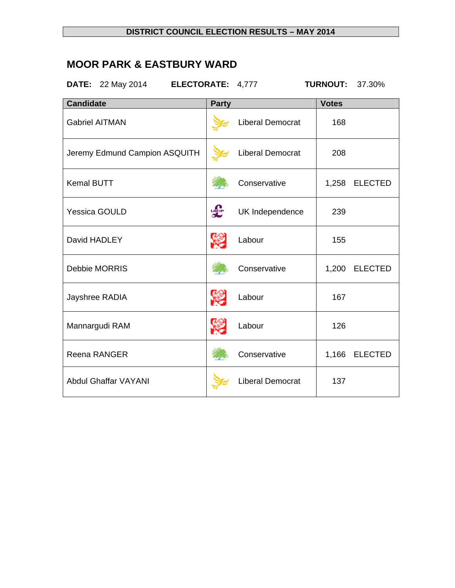# **MOOR PARK & EASTBURY WARD**

**DATE:** 22 May 2014 **ELECTORATE:** 4,777 **TURNOUT:** 37.30%

| <b>Candidate</b>              | <b>Party</b> |                         | <b>Votes</b> |                |
|-------------------------------|--------------|-------------------------|--------------|----------------|
| <b>Gabriel AITMAN</b>         |              | <b>Liberal Democrat</b> | 168          |                |
| Jeremy Edmund Campion ASQUITH |              | Liberal Democrat        | 208          |                |
| <b>Kemal BUTT</b>             |              | Conservative            | 1,258        | <b>ELECTED</b> |
| <b>Yessica GOULD</b>          | <b>SEP</b>   | UK Independence         | 239          |                |
| David HADLEY                  |              | Labour                  | 155          |                |
| Debbie MORRIS                 |              | Conservative            | 1,200        | <b>ELECTED</b> |
| Jayshree RADIA                | <b>SEP</b>   | Labour                  | 167          |                |
| Mannargudi RAM                |              | Labour                  | 126          |                |
| Reena RANGER                  |              | Conservative            | 1,166        | <b>ELECTED</b> |
| <b>Abdul Ghaffar VAYANI</b>   |              | <b>Liberal Democrat</b> | 137          |                |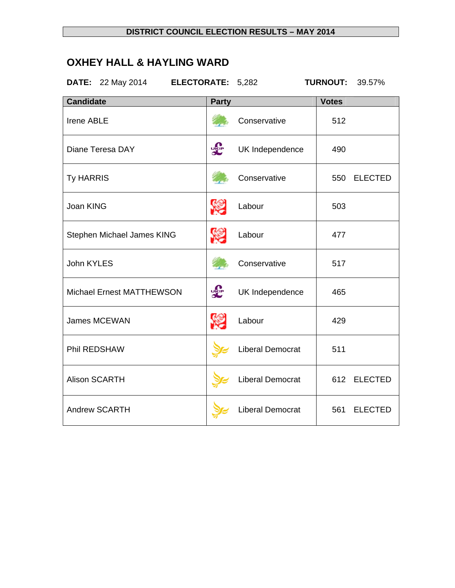# **OXHEY HALL & HAYLING WARD**

**DATE:** 22 May 2014 **ELECTORATE:** 5,282 **TURNOUT:** 39.57%

| <b>Candidate</b>           | <b>Party</b>          |                         | <b>Votes</b> |                |
|----------------------------|-----------------------|-------------------------|--------------|----------------|
| <b>Irene ABLE</b>          |                       | Conservative            | 512          |                |
| Diane Teresa DAY           | <b>DRIP</b>           | UK Independence         | 490          |                |
| <b>Ty HARRIS</b>           |                       | Conservative            | 550          | <b>ELECTED</b> |
| Joan KING                  | <b>SEP</b>            | Labour                  | 503          |                |
| Stephen Michael James KING | r.                    | Labour                  | 477          |                |
| John KYLES                 |                       | Conservative            | 517          |                |
| Michael Ernest MATTHEWSON  | <b>J<sub>EP</sub></b> | UK Independence         | 465          |                |
| James MCEWAN               | S                     | Labour                  | 429          |                |
| Phil REDSHAW               |                       | <b>Liberal Democrat</b> | 511          |                |
| <b>Alison SCARTH</b>       |                       | <b>Liberal Democrat</b> | 612          | <b>ELECTED</b> |
| <b>Andrew SCARTH</b>       |                       | <b>Liberal Democrat</b> | 561          | <b>ELECTED</b> |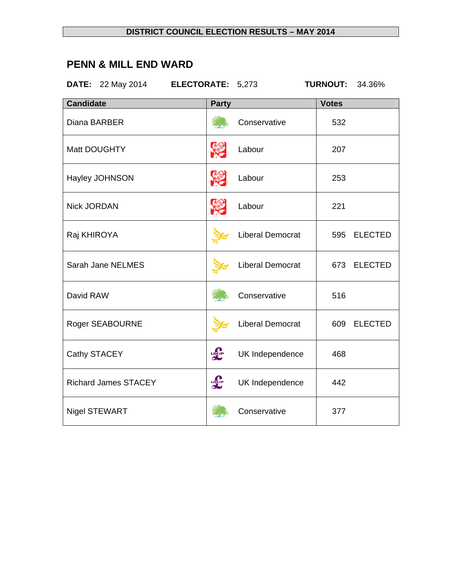# **PENN & MILL END WARD**

**DATE:** 22 May 2014 **ELECTORATE:** 5,273 **TURNOUT:** 34.36%

| <b>Candidate</b>            | <b>Party</b>           |                         | <b>Votes</b> |                |
|-----------------------------|------------------------|-------------------------|--------------|----------------|
| Diana BARBER                |                        | Conservative            | 532          |                |
| Matt DOUGHTY                | <b>SEP</b>             | Labour                  | 207          |                |
| Hayley JOHNSON              | <b>SEP</b>             | Labour                  | 253          |                |
| <b>Nick JORDAN</b>          | <b>SEP</b>             | Labour                  | 221          |                |
| Raj KHIROYA                 |                        | Liberal Democrat        | 595          | <b>ELECTED</b> |
| Sarah Jane NELMES           |                        | <b>Liberal Democrat</b> | 673          | <b>ELECTED</b> |
| David RAW                   |                        | Conservative            | 516          |                |
| <b>Roger SEABOURNE</b>      |                        | Liberal Democrat        | 609          | <b>ELECTED</b> |
| Cathy STACEY                | <b>LELE</b>            | UK Independence         | 468          |                |
| <b>Richard James STACEY</b> | <b>J<sub>SUP</sub></b> | UK Independence         | 442          |                |
| <b>Nigel STEWART</b>        |                        | Conservative            | 377          |                |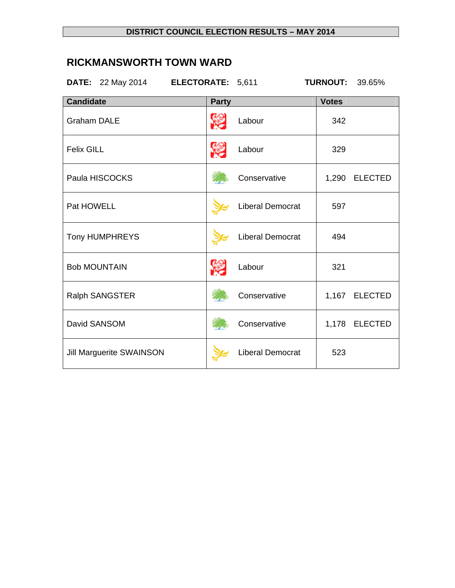## **RICKMANSWORTH TOWN WARD**

**DATE:** 22 May 2014 **ELECTORATE:** 5,611 **TURNOUT:** 39.65%

| <b>Candidate</b>                | <b>Party</b> |                         | <b>Votes</b> |                |
|---------------------------------|--------------|-------------------------|--------------|----------------|
| <b>Graham DALE</b>              | r.           | Labour                  | 342          |                |
| <b>Felix GILL</b>               | Y.           | Labour                  | 329          |                |
| Paula HISCOCKS                  |              | Conservative            | 1,290        | <b>ELECTED</b> |
| Pat HOWELL                      |              | <b>Liberal Democrat</b> | 597          |                |
| <b>Tony HUMPHREYS</b>           |              | <b>Liberal Democrat</b> | 494          |                |
| <b>Bob MOUNTAIN</b>             |              | Labour                  | 321          |                |
| Ralph SANGSTER                  |              | Conservative            |              | 1,167 ELECTED  |
| David SANSOM                    |              | Conservative            |              | 1,178 ELECTED  |
| <b>Jill Marguerite SWAINSON</b> |              | <b>Liberal Democrat</b> | 523          |                |